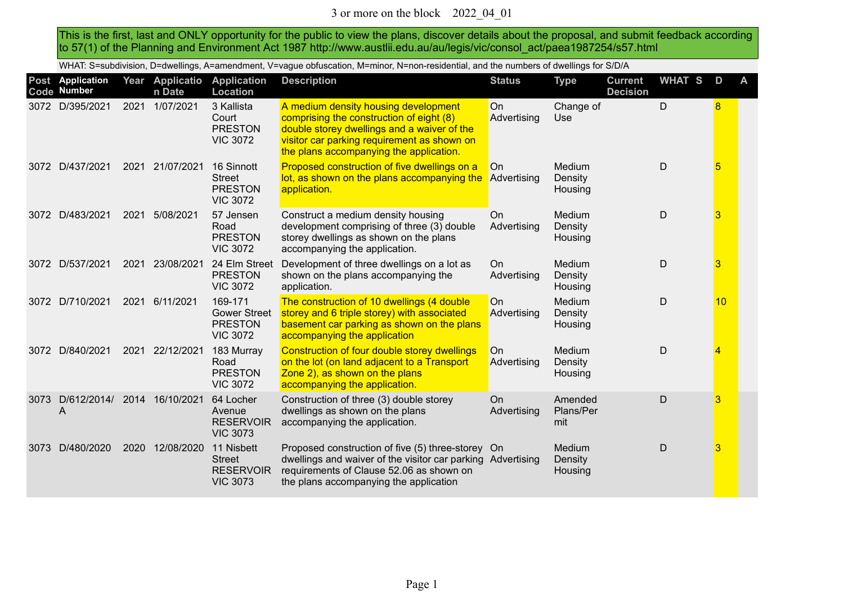This is the first, last and ONLY opportunity for the public to view the plans, discover details about the proposal, and submit feedback according to 57(1) of the Planning and Environment Act 1987 http://www.austlii.edu.au/au/legis/vic/consol\_act/paea1987254/s57.html

WHAT: S=subdivision, D=dwellings, A=amendment, V=vague obfuscation, M=minor, N=non-residential, and the numbers of dwellings for S/D/A

|      | Post Application<br>Code Number  |      | Year Applicatio<br>n Date | <b>Application</b><br><b>Location</b>                               | <b>Description</b>                                                                                                                                                                                                        | <b>Status</b>            | <b>Type</b>                         | <b>Current</b><br><b>Decision</b> | <b>WHAT S</b> | D              | A |
|------|----------------------------------|------|---------------------------|---------------------------------------------------------------------|---------------------------------------------------------------------------------------------------------------------------------------------------------------------------------------------------------------------------|--------------------------|-------------------------------------|-----------------------------------|---------------|----------------|---|
| 3072 | D/395/2021                       | 2021 | 1/07/2021                 | 3 Kallista<br>Court<br><b>PRESTON</b><br><b>VIC 3072</b>            | A medium density housing development<br>comprising the construction of eight (8)<br>double storey dwellings and a waiver of the<br>visitor car parking requirement as shown on<br>the plans accompanying the application. | On<br>Advertising        | Change of<br>Use                    |                                   | D             | 8              |   |
| 3072 | D/437/2021                       | 2021 | 21/07/2021                | 16 Sinnott<br><b>Street</b><br><b>PRESTON</b><br><b>VIC 3072</b>    | Proposed construction of five dwellings on a<br>lot, as shown on the plans accompanying the<br>application.                                                                                                               | On<br>Advertising        | <b>Medium</b><br>Density<br>Housing |                                   | D             | 5              |   |
|      | 3072 D/483/2021                  | 2021 | 5/08/2021                 | 57 Jensen<br>Road<br><b>PRESTON</b><br><b>VIC 3072</b>              | Construct a medium density housing<br>development comprising of three (3) double<br>storey dwellings as shown on the plans<br>accompanying the application.                                                               | On<br>Advertising        | Medium<br>Density<br>Housing        |                                   | D             | 3              |   |
|      | 3072 D/537/2021                  | 2021 | 23/08/2021                | 24 Elm Street<br><b>PRESTON</b><br><b>VIC 3072</b>                  | Development of three dwellings on a lot as<br>shown on the plans accompanying the<br>application.                                                                                                                         | On<br>Advertising        | Medium<br>Density<br>Housing        |                                   | D             | 3              |   |
| 3072 | D/710/2021                       | 2021 | 6/11/2021                 | 169-171<br><b>Gower Street</b><br><b>PRESTON</b><br><b>VIC 3072</b> | The construction of 10 dwellings (4 double<br>storey and 6 triple storey) with associated<br>basement car parking as shown on the plans<br>accompanying the application                                                   | <b>On</b><br>Advertising | Medium<br>Density<br>Housing        |                                   | D             | 10             |   |
|      | 3072 D/840/2021                  | 2021 | 22/12/2021                | 183 Murray<br>Road<br><b>PRESTON</b><br><b>VIC 3072</b>             | Construction of four double storey dwellings<br>on the lot (on land adjacent to a Transport<br>Zone 2), as shown on the plans<br>accompanying the application.                                                            | On.<br>Advertising       | Medium<br>Density<br>Housing        |                                   | D             | $\overline{4}$ |   |
| 3073 | D/612/2014/ 2014 16/10/2021<br>A |      |                           | 64 Locher<br>Avenue<br><b>RESERVOIR</b><br><b>VIC 3073</b>          | Construction of three (3) double storey<br>dwellings as shown on the plans<br>accompanying the application.                                                                                                               | <b>On</b><br>Advertising | Amended<br>Plans/Per<br>mit         |                                   | D             | 3              |   |
| 3073 | D/480/2020                       | 2020 | 12/08/2020                | 11 Nisbett<br><b>Street</b><br><b>RESERVOIR</b><br><b>VIC 3073</b>  | Proposed construction of five (5) three-storey On<br>dwellings and waiver of the visitor car parking Advertising<br>requirements of Clause 52.06 as shown on<br>the plans accompanying the application                    |                          | Medium<br>Density<br>Housing        |                                   | D             | 3              |   |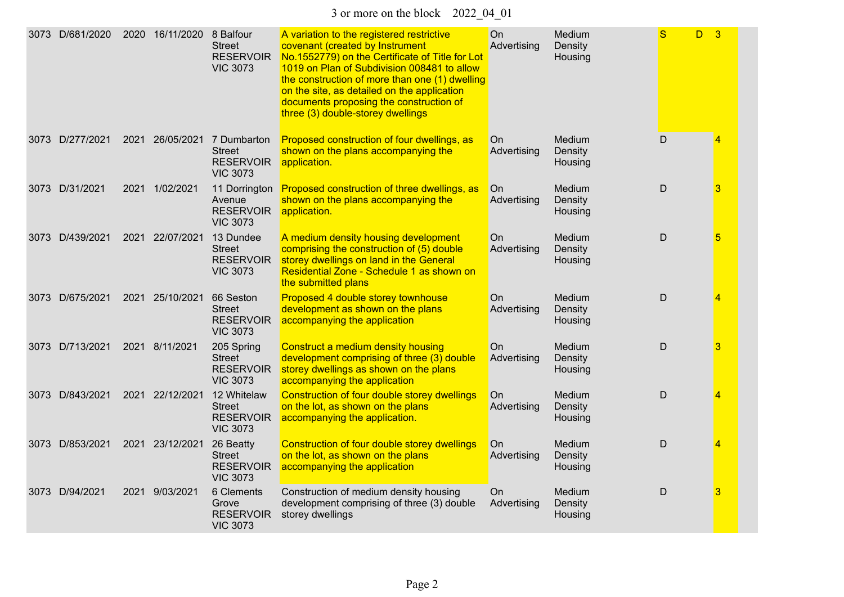3 or more on the block 2022\_04\_01

| 3073 D/681/2020 | 2020 | 16/11/2020      | 8 Balfour<br><b>Street</b><br><b>RESERVOIR</b><br><b>VIC 3073</b>              | A variation to the registered restrictive<br>covenant (created by Instrument<br>No.1552779) on the Certificate of Title for Lot<br>1019 on Plan of Subdivision 008481 to allow<br>the construction of more than one (1) dwelling<br>on the site, as detailed on the application<br>documents proposing the construction of<br>three (3) double-storey dwellings | On<br>Advertising | Medium<br>Density<br>Housing | S<br>D.     | $\overline{3}$ |
|-----------------|------|-----------------|--------------------------------------------------------------------------------|-----------------------------------------------------------------------------------------------------------------------------------------------------------------------------------------------------------------------------------------------------------------------------------------------------------------------------------------------------------------|-------------------|------------------------------|-------------|----------------|
| 3073 D/277/2021 | 2021 |                 | 26/05/2021 7 Dumbarton<br><b>Street</b><br><b>RESERVOIR</b><br><b>VIC 3073</b> | Proposed construction of four dwellings, as<br>shown on the plans accompanying the<br>application.                                                                                                                                                                                                                                                              | On<br>Advertising | Medium<br>Density<br>Housing | $\mathsf D$ | 4              |
| 3073 D/31/2021  | 2021 | 1/02/2021       | 11 Dorrington<br>Avenue<br><b>RESERVOIR</b><br><b>VIC 3073</b>                 | Proposed construction of three dwellings, as<br>shown on the plans accompanying the<br>application.                                                                                                                                                                                                                                                             | On<br>Advertising | Medium<br>Density<br>Housing | D           | 3              |
| 3073 D/439/2021 |      | 2021 22/07/2021 | 13 Dundee<br><b>Street</b><br><b>RESERVOIR</b><br><b>VIC 3073</b>              | A medium density housing development<br>comprising the construction of (5) double<br>storey dwellings on land in the General<br>Residential Zone - Schedule 1 as shown on<br>the submitted plans                                                                                                                                                                | On<br>Advertising | Medium<br>Density<br>Housing | $\mathsf D$ | 5              |
| 3073 D/675/2021 | 2021 | 25/10/2021      | 66 Seston<br><b>Street</b><br><b>RESERVOIR</b><br><b>VIC 3073</b>              | Proposed 4 double storey townhouse<br>development as shown on the plans<br>accompanying the application                                                                                                                                                                                                                                                         | On<br>Advertising | Medium<br>Density<br>Housing | $\mathsf D$ | 4              |
| 3073 D/713/2021 |      | 2021 8/11/2021  | 205 Spring<br><b>Street</b><br><b>RESERVOIR</b><br><b>VIC 3073</b>             | Construct a medium density housing<br>development comprising of three (3) double<br>storey dwellings as shown on the plans<br>accompanying the application                                                                                                                                                                                                      | On<br>Advertising | Medium<br>Density<br>Housing | D           | 3              |
| 3073 D/843/2021 | 2021 | 22/12/2021      | 12 Whitelaw<br><b>Street</b><br><b>RESERVOIR</b><br><b>VIC 3073</b>            | Construction of four double storey dwellings<br>on the lot, as shown on the plans<br>accompanying the application.                                                                                                                                                                                                                                              | On<br>Advertising | Medium<br>Density<br>Housing | D           | $\overline{4}$ |
| 3073 D/853/2021 | 2021 | 23/12/2021      | 26 Beatty<br><b>Street</b><br><b>RESERVOIR</b><br><b>VIC 3073</b>              | Construction of four double storey dwellings<br>on the lot, as shown on the plans<br>accompanying the application                                                                                                                                                                                                                                               | On<br>Advertising | Medium<br>Density<br>Housing | D           | 4              |
| 3073 D/94/2021  | 2021 | 9/03/2021       | 6 Clements<br>Grove<br><b>RESERVOIR</b><br><b>VIC 3073</b>                     | Construction of medium density housing<br>development comprising of three (3) double<br>storey dwellings                                                                                                                                                                                                                                                        | On<br>Advertising | Medium<br>Density<br>Housing | $\mathsf D$ | 3              |